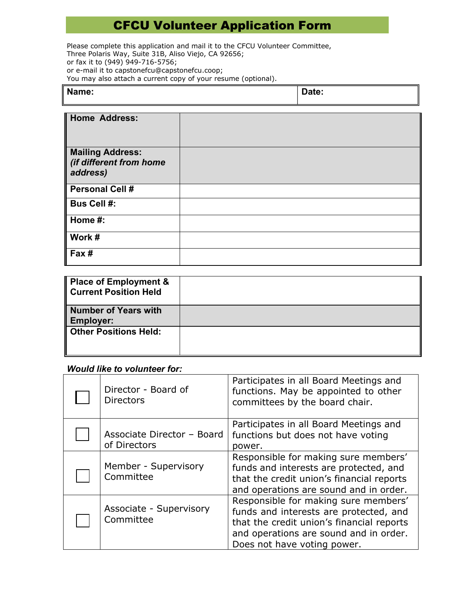## CFCU Volunteer Application Form

Please complete this application and mail it to the CFCU Volunteer Committee, Three Polaris Way, Suite 31B, Aliso Viejo, CA 92656; or fax it to (949) 949-716-5756; or e-mail it to capstonefcu@capstonefcu.coop; You may also attach a current copy of your resume (optional).

| Name: | ≀ate: |
|-------|-------|
|       |       |

| Home Address:                                                  |  |
|----------------------------------------------------------------|--|
| <b>Mailing Address:</b><br>(if different from home<br>address) |  |
| <b>Personal Cell #</b>                                         |  |
| <b>Bus Cell #:</b>                                             |  |
| Home #:                                                        |  |
| Work #                                                         |  |
| Fax#                                                           |  |

| <b>Place of Employment &amp;</b><br><b>Current Position Held</b> |  |
|------------------------------------------------------------------|--|
| <b>Number of Years with</b><br><b>Employer:</b>                  |  |
| <b>Other Positions Held:</b>                                     |  |

## *Would like to volunteer for:*

| Director - Board of<br><b>Directors</b>    | Participates in all Board Meetings and<br>functions. May be appointed to other<br>committees by the board chair.                                                                                     |
|--------------------------------------------|------------------------------------------------------------------------------------------------------------------------------------------------------------------------------------------------------|
| Associate Director - Board<br>of Directors | Participates in all Board Meetings and<br>functions but does not have voting<br>power.                                                                                                               |
| Member - Supervisory<br>Committee          | Responsible for making sure members'<br>funds and interests are protected, and<br>that the credit union's financial reports<br>and operations are sound and in order.                                |
| Associate - Supervisory<br>Committee       | Responsible for making sure members'<br>funds and interests are protected, and<br>that the credit union's financial reports<br>and operations are sound and in order.<br>Does not have voting power. |